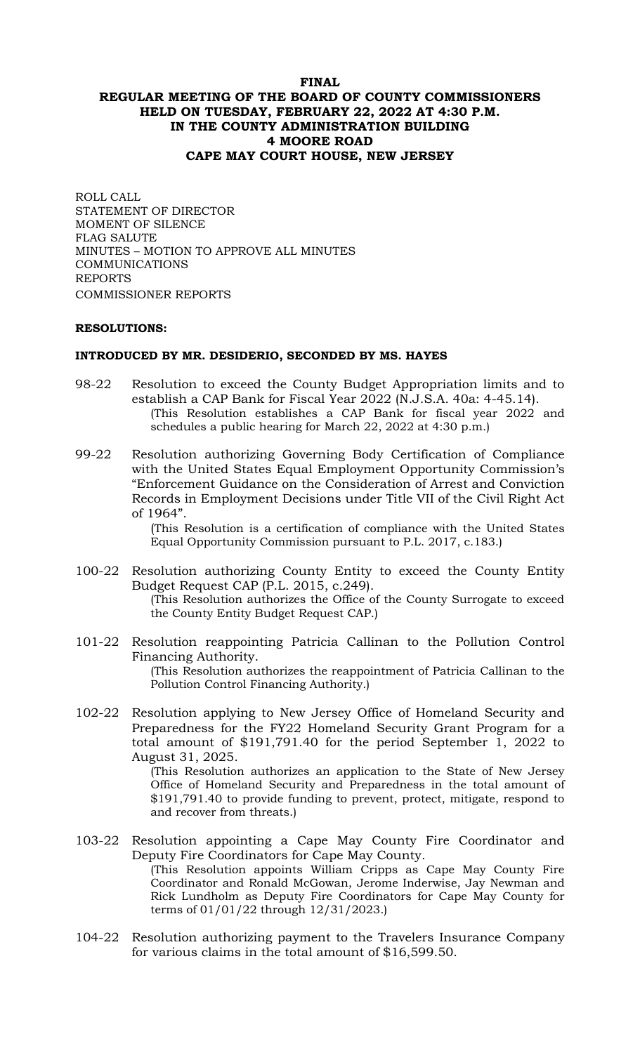# **FINAL REGULAR MEETING OF THE BOARD OF COUNTY COMMISSIONERS HELD ON TUESDAY, FEBRUARY 22, 2022 AT 4:30 P.M. IN THE COUNTY ADMINISTRATION BUILDING 4 MOORE ROAD CAPE MAY COURT HOUSE, NEW JERSEY**

ROLL CALL STATEMENT OF DIRECTOR MOMENT OF SILENCE FLAG SALUTE MINUTES – MOTION TO APPROVE ALL MINUTES COMMUNICATIONS REPORTS COMMISSIONER REPORTS

### **RESOLUTIONS:**

#### **INTRODUCED BY MR. DESIDERIO, SECONDED BY MS. HAYES**

- 98-22 Resolution to exceed the County Budget Appropriation limits and to establish a CAP Bank for Fiscal Year 2022 (N.J.S.A. 40a: 4-45.14). (This Resolution establishes a CAP Bank for fiscal year 2022 and schedules a public hearing for March 22, 2022 at 4:30 p.m.)
- 99-22 Resolution authorizing Governing Body Certification of Compliance with the United States Equal Employment Opportunity Commission's "Enforcement Guidance on the Consideration of Arrest and Conviction Records in Employment Decisions under Title VII of the Civil Right Act of 1964".

(This Resolution is a certification of compliance with the United States Equal Opportunity Commission pursuant to P.L. 2017, c.183.)

- 100-22 Resolution authorizing County Entity to exceed the County Entity Budget Request CAP (P.L. 2015, c.249). (This Resolution authorizes the Office of the County Surrogate to exceed the County Entity Budget Request CAP.)
- 101-22 Resolution reappointing Patricia Callinan to the Pollution Control Financing Authority. (This Resolution authorizes the reappointment of Patricia Callinan to the Pollution Control Financing Authority.)
- 102-22 Resolution applying to New Jersey Office of Homeland Security and Preparedness for the FY22 Homeland Security Grant Program for a total amount of \$191,791.40 for the period September 1, 2022 to August 31, 2025.

(This Resolution authorizes an application to the State of New Jersey Office of Homeland Security and Preparedness in the total amount of \$191,791.40 to provide funding to prevent, protect, mitigate, respond to and recover from threats.)

- 103-22 Resolution appointing a Cape May County Fire Coordinator and Deputy Fire Coordinators for Cape May County. (This Resolution appoints William Cripps as Cape May County Fire Coordinator and Ronald McGowan, Jerome Inderwise, Jay Newman and Rick Lundholm as Deputy Fire Coordinators for Cape May County for terms of 01/01/22 through 12/31/2023.)
- 104-22 Resolution authorizing payment to the Travelers Insurance Company for various claims in the total amount of \$16,599.50.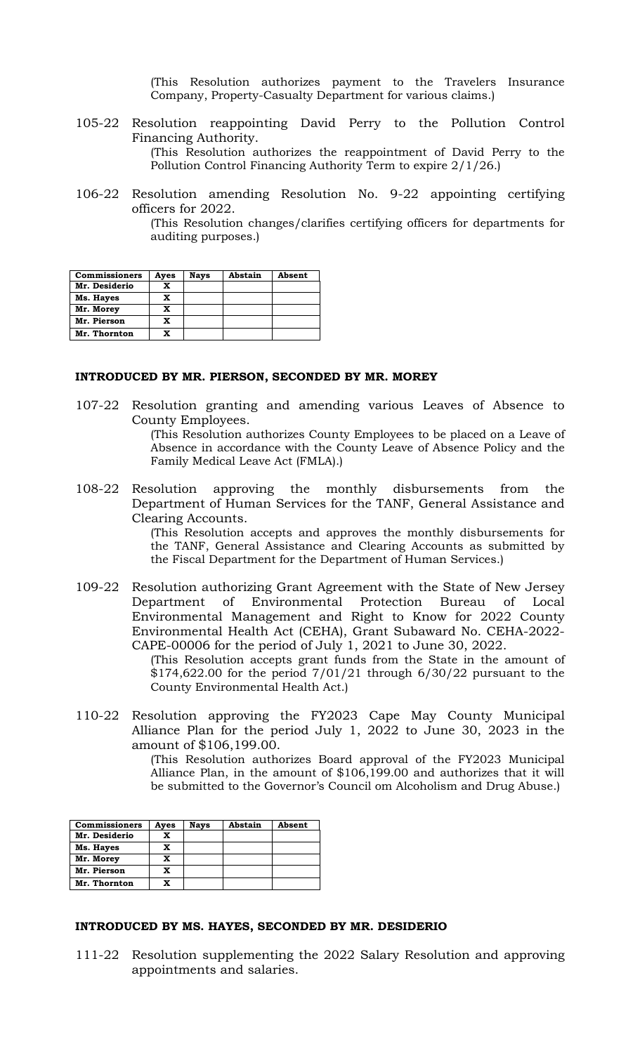(This Resolution authorizes payment to the Travelers Insurance Company, Property-Casualty Department for various claims.)

- 105-22 Resolution reappointing David Perry to the Pollution Control Financing Authority. (This Resolution authorizes the reappointment of David Perry to the Pollution Control Financing Authority Term to expire 2/1/26.)
- 106-22 Resolution amending Resolution No. 9-22 appointing certifying officers for 2022.

(This Resolution changes/clarifies certifying officers for departments for auditing purposes.)

| <b>Commissioners</b> | Ayes | <b>Nays</b> | Abstain | Absent |
|----------------------|------|-------------|---------|--------|
| Mr. Desiderio        | х    |             |         |        |
| Ms. Hayes            | X    |             |         |        |
| Mr. Morey            | x    |             |         |        |
| Mr. Pierson          | x    |             |         |        |
| Mr. Thornton         |      |             |         |        |

### **INTRODUCED BY MR. PIERSON, SECONDED BY MR. MOREY**

107-22 Resolution granting and amending various Leaves of Absence to County Employees.

(This Resolution authorizes County Employees to be placed on a Leave of Absence in accordance with the County Leave of Absence Policy and the Family Medical Leave Act (FMLA).)

108-22 Resolution approving the monthly disbursements from the Department of Human Services for the TANF, General Assistance and Clearing Accounts.

> (This Resolution accepts and approves the monthly disbursements for the TANF, General Assistance and Clearing Accounts as submitted by the Fiscal Department for the Department of Human Services.)

109-22 Resolution authorizing Grant Agreement with the State of New Jersey Department of Environmental Protection Bureau of Local Environmental Management and Right to Know for 2022 County Environmental Health Act (CEHA), Grant Subaward No. CEHA-2022- CAPE-00006 for the period of July 1, 2021 to June 30, 2022.

> (This Resolution accepts grant funds from the State in the amount of \$174,622.00 for the period 7/01/21 through 6/30/22 pursuant to the County Environmental Health Act.)

110-22 Resolution approving the FY2023 Cape May County Municipal Alliance Plan for the period July 1, 2022 to June 30, 2023 in the amount of \$106,199.00.

(This Resolution authorizes Board approval of the FY2023 Municipal Alliance Plan, in the amount of \$106,199.00 and authorizes that it will be submitted to the Governor's Council om Alcoholism and Drug Abuse.)

| <b>Commissioners</b> | Ayes | <b>Nays</b> | Abstain | Absent |
|----------------------|------|-------------|---------|--------|
| Mr. Desiderio        |      |             |         |        |
| Ms. Hayes            | X    |             |         |        |
| Mr. Morey            |      |             |         |        |
| Mr. Pierson          | x    |             |         |        |
| Mr. Thornton         |      |             |         |        |

### **INTRODUCED BY MS. HAYES, SECONDED BY MR. DESIDERIO**

111-22 Resolution supplementing the 2022 Salary Resolution and approving appointments and salaries.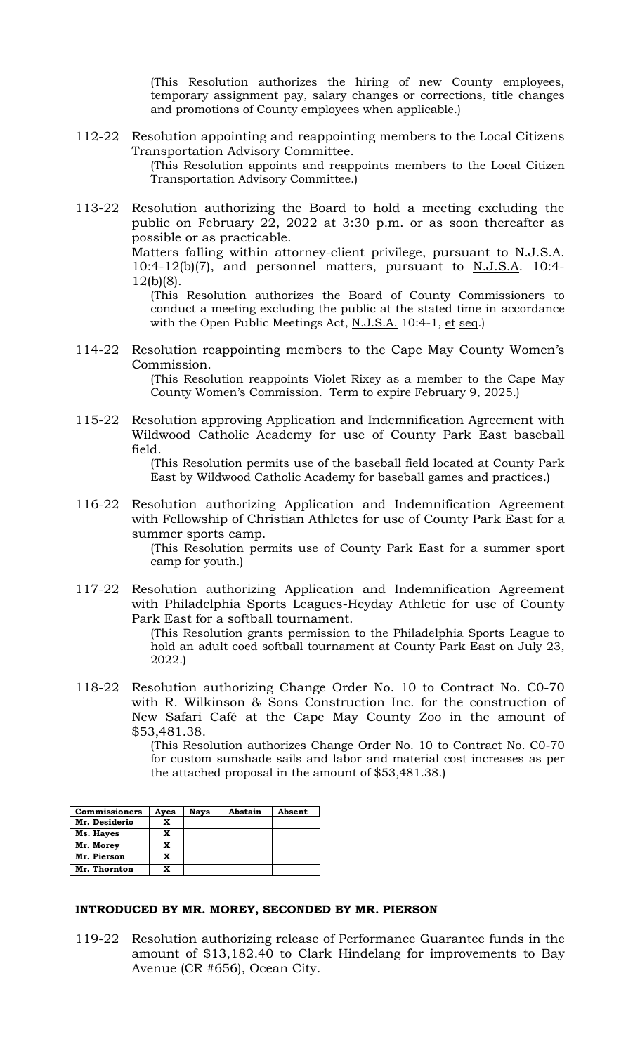(This Resolution authorizes the hiring of new County employees, temporary assignment pay, salary changes or corrections, title changes and promotions of County employees when applicable.)

112-22 Resolution appointing and reappointing members to the Local Citizens Transportation Advisory Committee.

(This Resolution appoints and reappoints members to the Local Citizen Transportation Advisory Committee.)

113-22 Resolution authorizing the Board to hold a meeting excluding the public on February 22, 2022 at 3:30 p.m. or as soon thereafter as possible or as practicable.

Matters falling within attorney-client privilege, pursuant to N.J.S.A. 10:4-12(b)(7), and personnel matters, pursuant to N.J.S.A. 10:4- 12(b)(8).

(This Resolution authorizes the Board of County Commissioners to conduct a meeting excluding the public at the stated time in accordance with the Open Public Meetings Act, N.J.S.A. 10:4-1, et seq.)

114-22 Resolution reappointing members to the Cape May County Women's Commission.

> (This Resolution reappoints Violet Rixey as a member to the Cape May County Women's Commission. Term to expire February 9, 2025.)

115-22 Resolution approving Application and Indemnification Agreement with Wildwood Catholic Academy for use of County Park East baseball field.

> (This Resolution permits use of the baseball field located at County Park East by Wildwood Catholic Academy for baseball games and practices.)

116-22 Resolution authorizing Application and Indemnification Agreement with Fellowship of Christian Athletes for use of County Park East for a summer sports camp.

> (This Resolution permits use of County Park East for a summer sport camp for youth.)

117-22 Resolution authorizing Application and Indemnification Agreement with Philadelphia Sports Leagues-Heyday Athletic for use of County Park East for a softball tournament.

> (This Resolution grants permission to the Philadelphia Sports League to hold an adult coed softball tournament at County Park East on July 23, 2022.)

118-22 Resolution authorizing Change Order No. 10 to Contract No. C0-70 with R. Wilkinson & Sons Construction Inc. for the construction of New Safari Café at the Cape May County Zoo in the amount of \$53,481.38.

> (This Resolution authorizes Change Order No. 10 to Contract No. C0-70 for custom sunshade sails and labor and material cost increases as per the attached proposal in the amount of \$53,481.38.)

| <b>Commissioners</b> | Ayes | Nays | Abstain | Absent |
|----------------------|------|------|---------|--------|
| Mr. Desiderio        |      |      |         |        |
| Ms. Hayes            |      |      |         |        |
| Mr. Morey            |      |      |         |        |
| Mr. Pierson          | X    |      |         |        |
| Mr. Thornton         |      |      |         |        |

### **INTRODUCED BY MR. MOREY, SECONDED BY MR. PIERSON**

119-22 Resolution authorizing release of Performance Guarantee funds in the amount of \$13,182.40 to Clark Hindelang for improvements to Bay Avenue (CR #656), Ocean City.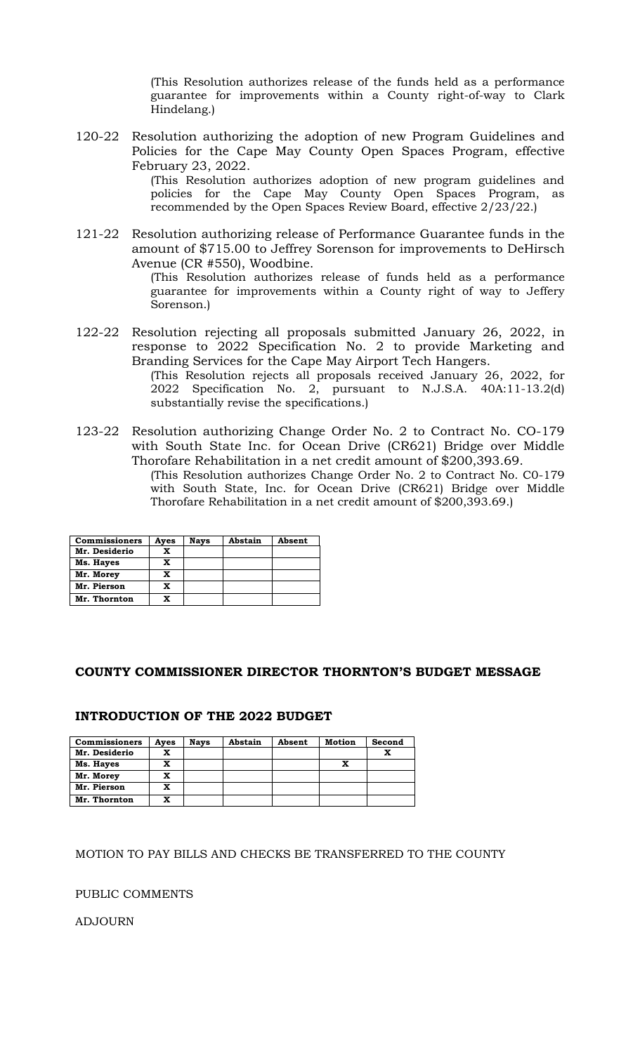(This Resolution authorizes release of the funds held as a performance guarantee for improvements within a County right-of-way to Clark Hindelang.)

- 120-22 Resolution authorizing the adoption of new Program Guidelines and Policies for the Cape May County Open Spaces Program, effective February 23, 2022. (This Resolution authorizes adoption of new program guidelines and policies for the Cape May County Open Spaces Program, as recommended by the Open Spaces Review Board, effective 2/23/22.)
- 121-22 Resolution authorizing release of Performance Guarantee funds in the amount of \$715.00 to Jeffrey Sorenson for improvements to DeHirsch Avenue (CR #550), Woodbine.

(This Resolution authorizes release of funds held as a performance guarantee for improvements within a County right of way to Jeffery Sorenson.)

122-22 Resolution rejecting all proposals submitted January 26, 2022, in response to 2022 Specification No. 2 to provide Marketing and Branding Services for the Cape May Airport Tech Hangers.

(This Resolution rejects all proposals received January 26, 2022, for 2022 Specification No. 2, pursuant to N.J.S.A. 40A:11-13.2(d) substantially revise the specifications.)

123-22 Resolution authorizing Change Order No. 2 to Contract No. CO-179 with South State Inc. for Ocean Drive (CR621) Bridge over Middle Thorofare Rehabilitation in a net credit amount of \$200,393.69.

(This Resolution authorizes Change Order No. 2 to Contract No. C0-179 with South State, Inc. for Ocean Drive (CR621) Bridge over Middle Thorofare Rehabilitation in a net credit amount of \$200,393.69.)

| <b>Commissioners</b> | Ayes | Nays | Abstain | Absent |
|----------------------|------|------|---------|--------|
| Mr. Desiderio        | x    |      |         |        |
| Ms. Hayes            | x    |      |         |        |
| Mr. Morey            | x    |      |         |        |
| Mr. Pierson          | x    |      |         |        |
| Mr. Thornton         | x    |      |         |        |

## **COUNTY COMMISSIONER DIRECTOR THORNTON'S BUDGET MESSAGE**

### **INTRODUCTION OF THE 2022 BUDGET**

| <b>Commissioners</b> | Ayes | <b>Nays</b> | Abstain | Absent | Motion | Second |
|----------------------|------|-------------|---------|--------|--------|--------|
| Mr. Desiderio        | x    |             |         |        |        | x      |
| Ms. Hayes            | x    |             |         |        |        |        |
| Mr. Morey            | x    |             |         |        |        |        |
| Mr. Pierson          | x    |             |         |        |        |        |
| Mr. Thornton         |      |             |         |        |        |        |

### MOTION TO PAY BILLS AND CHECKS BE TRANSFERRED TO THE COUNTY

### PUBLIC COMMENTS

ADJOURN